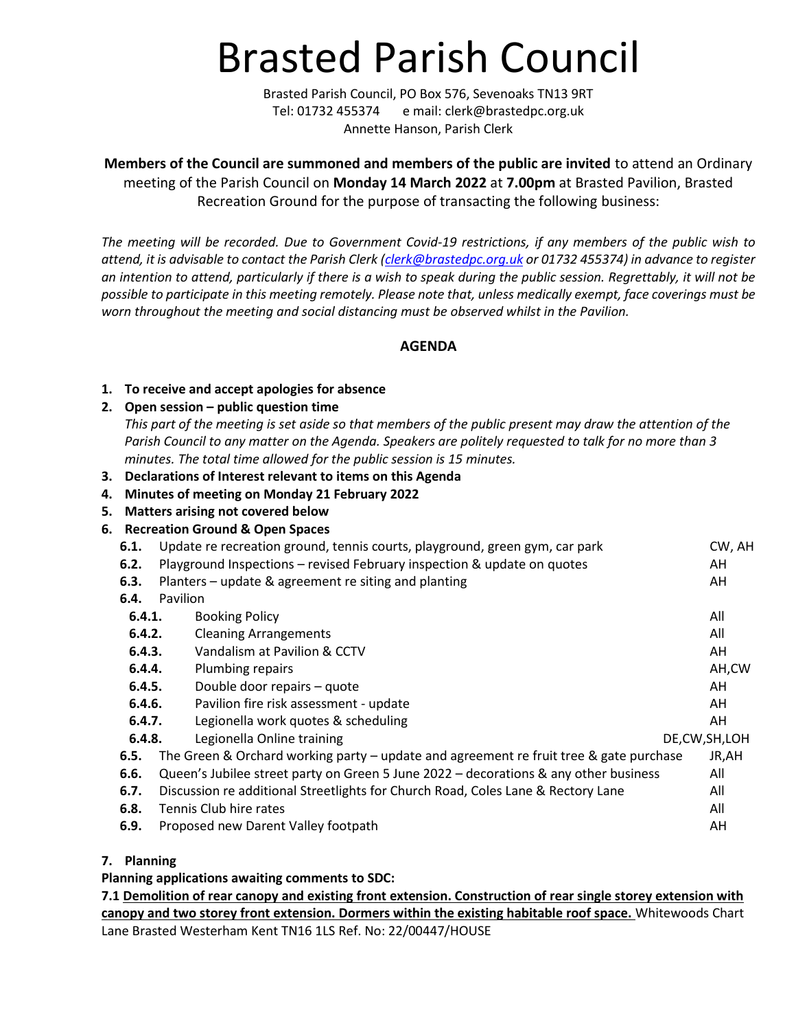# Brasted Parish Council

Brasted Parish Council, PO Box 576, Sevenoaks TN13 9RT Tel: 01732 455374 e mail: clerk@brastedpc.org.uk Annette Hanson, Parish Clerk

**Members of the Council are summoned and members of the public are invited** to attend an Ordinary meeting of the Parish Council on **Monday 14 March 2022** at **7.00pm** at Brasted Pavilion, Brasted Recreation Ground for the purpose of transacting the following business:

*The meeting will be recorded. Due to Government Covid-19 restrictions, if any members of the public wish to attend, it is advisable to contact the Parish Clerk [\(clerk@brastedpc.org.uk](mailto:clerk@brastedpc.org.uk) or 01732 455374) in advance to register an intention to attend, particularly if there is a wish to speak during the public session. Regrettably, it will not be possible to participate in this meeting remotely. Please note that, unless medically exempt, face coverings must be worn throughout the meeting and social distancing must be observed whilst in the Pavilion.*

**AGENDA**

#### **1. To receive and accept apologies for absence**

#### **2. Open session – public question time**

*This part of the meeting is set aside so that members of the public present may draw the attention of the Parish Council to any matter on the Agenda. Speakers are politely requested to talk for no more than 3 minutes. The total time allowed for the public session is 15 minutes.*

- **3. Declarations of Interest relevant to items on this Agenda**
- **4. Minutes of meeting on Monday 21 February 2022**
- **5. Matters arising not covered below**
- **6. Recreation Ground & Open Spaces**

| 6.1.   | Update re recreation ground, tennis courts, playground, green gym, car park            | CW, AH          |
|--------|----------------------------------------------------------------------------------------|-----------------|
| 6.2.   | Playground Inspections - revised February inspection & update on quotes                | AH              |
| 6.3.   | Planters - update & agreement re siting and planting                                   | AH              |
| 6.4.   | Pavilion                                                                               |                 |
| 6.4.1. | <b>Booking Policy</b>                                                                  | All             |
| 6.4.2. | <b>Cleaning Arrangements</b>                                                           | All             |
| 6.4.3. | Vandalism at Pavilion & CCTV                                                           | AH              |
| 6.4.4. | Plumbing repairs                                                                       | AH,CW           |
| 6.4.5. | Double door repairs - quote                                                            | AH              |
| 6.4.6. | Pavilion fire risk assessment - update                                                 | AH              |
| 6.4.7. | Legionella work quotes & scheduling                                                    | AH              |
| 6.4.8. | Legionella Online training                                                             | DE, CW, SH, LOH |
| 6.5.   | The Green & Orchard working party - update and agreement re fruit tree & gate purchase | JR,AH           |
| 6.6.   | Queen's Jubilee street party on Green 5 June 2022 - decorations & any other business   | All             |
| 6.7.   | Discussion re additional Streetlights for Church Road, Coles Lane & Rectory Lane       | All             |
| 6.8.   | Tennis Club hire rates                                                                 | All             |
| 6.9.   | Proposed new Darent Valley footpath                                                    | AH              |

**7. Planning**

**Planning applications awaiting comments to SDC:**

**7.[1 Demolition of rear canopy and existing front extension. Construction of rear single storey extension with](https://pa.sevenoaks.gov.uk/online-applications/applicationDetails.do?keyVal=R7IF4HBKG0S00&activeTab=summary)  [canopy and two storey front extension. Dormers within the existing habitable roof space.](https://pa.sevenoaks.gov.uk/online-applications/applicationDetails.do?keyVal=R7IF4HBKG0S00&activeTab=summary)** Whitewoods Chart Lane Brasted Westerham Kent TN16 1LS Ref. No: 22/00447/HOUSE